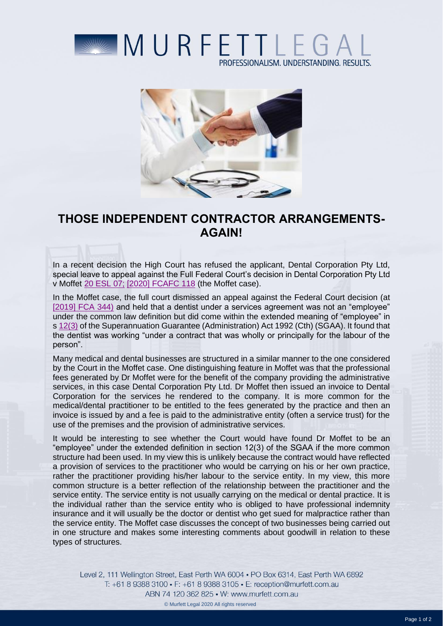



## **THOSE INDEPENDENT CONTRACTOR ARRANGEMENTS-AGAIN!**

In a recent decision the High Court has refused the applicant, Dental Corporation Pty Ltd, special leave to appeal against the Full Federal Court's decision in Dental Corporation Pty Ltd v Moffet [20 ESL 07;](https://iknow.cch.com.au/resolve-citation/XATAGNEWS_HANDLE%20io3292962sl1192940343) [\[2020\] FCAFC 118](http://www.austlii.edu.au/cgi-bin/viewdoc/au/cases/cth/FCAFC/2020/118.html?context=1;query=Moffet;mask_path=) (the Moffet case).

In the Moffet case, the full court dismissed an appeal against the Federal Court decision (at [\[2019\] FCA 344\)](http://www.austlii.edu.au/cgi-bin/viewdoc/au/cases/cth/FCA/2019/344.html) and held that a dentist under a services agreement was not an "employee" under the common law definition but did come within the extended meaning of "employee" in s [12\(3\)](https://iknow.cch.com.au/resolve-citation/XATAGNEWS_HANDLE%20io716703sl25260814) of the Superannuation Guarantee (Administration) Act 1992 (Cth) (SGAA). It found that the dentist was working "under a contract that was wholly or principally for the labour of the person".

Many medical and dental businesses are structured in a similar manner to the one considered by the Court in the Moffet case. One distinguishing feature in Moffet was that the professional fees generated by Dr Moffet were for the benefit of the company providing the administrative services, in this case Dental Corporation Pty Ltd. Dr Moffet then issued an invoice to Dental Corporation for the services he rendered to the company. It is more common for the medical/dental practitioner to be entitled to the fees generated by the practice and then an invoice is issued by and a fee is paid to the administrative entity (often a service trust) for the use of the premises and the provision of administrative services.

It would be interesting to see whether the Court would have found Dr Moffet to be an "employee" under the extended definition in section 12(3) of the SGAA if the more common structure had been used. In my view this is unlikely because the contract would have reflected a provision of services to the practitioner who would be carrying on his or her own practice, rather the practitioner providing his/her labour to the service entity. In my view, this more common structure is a better reflection of the relationship between the practitioner and the service entity. The service entity is not usually carrying on the medical or dental practice. It is the individual rather than the service entity who is obliged to have professional indemnity insurance and it will usually be the doctor or dentist who get sued for malpractice rather than the service entity. The Moffet case discusses the concept of two businesses being carried out in one structure and makes some interesting comments about goodwill in relation to these types of structures.

Level 2, 111 Wellington Street, East Perth WA 6004 . PO Box 6314, East Perth WA 6892 T: +61 8 9388 3100 • F: +61 8 9388 3105 • E: reception@murfett.com.au ABN 74 120 362 825 • W: www.murfett.com.au © Murfett Legal 2020 All rights reserved